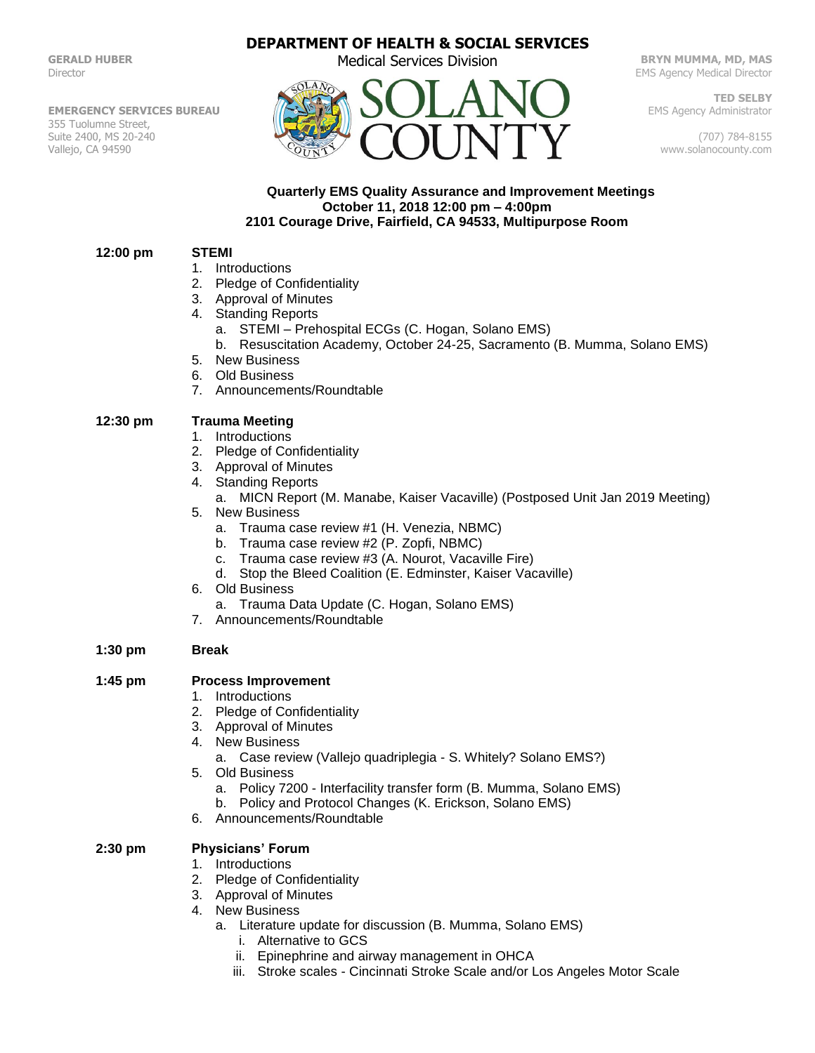**GERALD HUBER** Director

**EMERGENCY SERVICES BUREAU** 355 Tuolumne Street, Suite 2400, MS 20-240 Vallejo, CA 94590

# **DEPARTMENT OF HEALTH & SOCIAL SERVICES**

Medical Services Division



**BRYN MUMMA, MD, MAS** EMS Agency Medical Director

**TED SELBY** EMS Agency Administrator

(707) 784-8155 www.solanocounty.com

### **Quarterly EMS Quality Assurance and Improvement Meetings October 11, 2018 12:00 pm – 4:00pm 2101 Courage Drive, Fairfield, CA 94533, Multipurpose Room**

### **12:00 pm STEMI**

- 1. Introductions
- 2. Pledge of Confidentiality
- 3. Approval of Minutes
- 4. Standing Reports
	- a. STEMI Prehospital ECGs (C. Hogan, Solano EMS)
	- b. Resuscitation Academy, October 24-25, Sacramento (B. Mumma, Solano EMS)
- 5. New Business
- 6. Old Business
- 7. Announcements/Roundtable

## **12:30 pm Trauma Meeting**

- 1. Introductions
- 2. Pledge of Confidentiality
- 3. Approval of Minutes
- 4. Standing Reports
	- a. MICN Report (M. Manabe, Kaiser Vacaville) (Postposed Unit Jan 2019 Meeting)
- 5. New Business
	- a. Trauma case review #1 (H. Venezia, NBMC)
	- b. Trauma case review #2 (P. Zopfi, NBMC)
	- c. Trauma case review #3 (A. Nourot, Vacaville Fire)
	- d. Stop the Bleed Coalition (E. Edminster, Kaiser Vacaville)
- 6. Old Business
	- a. Trauma Data Update (C. Hogan, Solano EMS)
- 7. Announcements/Roundtable

### **1:30 pm Break**

### **1:45 pm Process Improvement**

- 1. Introductions
- 2. Pledge of Confidentiality
- 3. Approval of Minutes
- 4. New Business
	- a. Case review (Vallejo quadriplegia S. Whitely? Solano EMS?)
- 5. Old Business
	- a. Policy 7200 Interfacility transfer form (B. Mumma, Solano EMS)
	- b. Policy and Protocol Changes (K. Erickson, Solano EMS)
- 6. Announcements/Roundtable

# **2:30 pm Physicians' Forum**

- 1. Introductions
- 2. Pledge of Confidentiality
- 3. Approval of Minutes
- 4. New Business
	- a. Literature update for discussion (B. Mumma, Solano EMS)
		- i. Alternative to GCS
		- ii. Epinephrine and airway management in OHCA
		- iii. Stroke scales Cincinnati Stroke Scale and/or Los Angeles Motor Scale